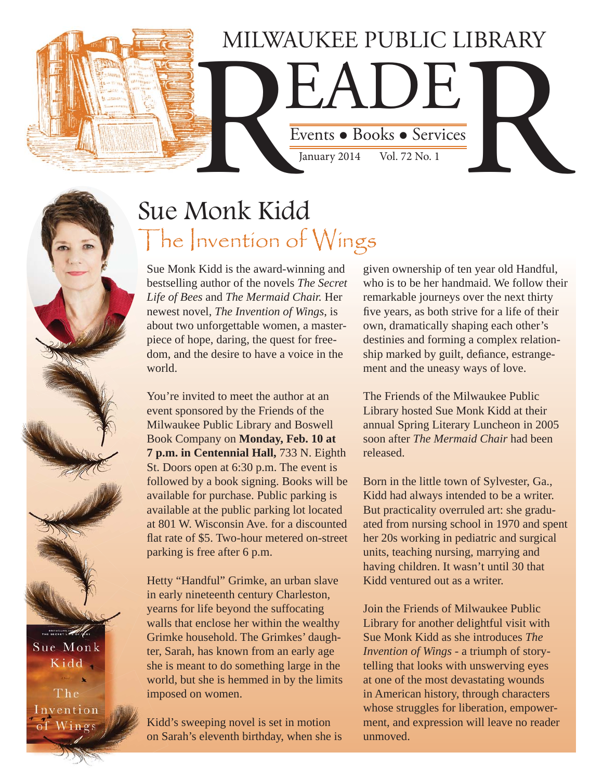# MILWAUKEE PUBLIC LIBRARY

Events • Books • Services Events . Books . Services Vol. 72 No. 1

# Sue Monk Kidd The Invention of Wings

Sue Monk Kidd is the award-winning and bestselling author of the novels *The Secret Life of Bees* and *The Mermaid Chair.* Her newest novel, *The Invention of Wings*, is about two unforgettable women, a masterpiece of hope, daring, the quest for freedom, and the desire to have a voice in the world.

You're invited to meet the author at an event sponsored by the Friends of the Milwaukee Public Library and Boswell Book Company on **Monday, Feb. 10 at 7 p.m. in Centennial Hall,** 733 N. Eighth St. Doors open at 6:30 p.m. The event is followed by a book signing. Books will be available for purchase. Public parking is available at the public parking lot located at 801 W. Wisconsin Ave. for a discounted flat rate of \$5. Two-hour metered on-street parking is free after 6 p.m.

Hetty "Handful" Grimke, an urban slave in early nineteenth century Charleston, yearns for life beyond the suffocating walls that enclose her within the wealthy Grimke household. The Grimkes' daughter, Sarah, has known from an early age she is meant to do something large in the world, but she is hemmed in by the limits imposed on women.

Kidd's sweeping novel is set in motion on Sarah's eleventh birthday, when she is given ownership of ten year old Handful, who is to be her handmaid. We follow their remarkable journeys over the next thirty five years, as both strive for a life of their own, dramatically shaping each other's destinies and forming a complex relationship marked by guilt, defiance, estrangement and the uneasy ways of love.

The Friends of the Milwaukee Public Library hosted Sue Monk Kidd at their annual Spring Literary Luncheon in 2005 soon after *The Mermaid Chair* had been released.

Born in the little town of Sylvester, Ga., Kidd had always intended to be a writer. But practicality overruled art: she graduated from nursing school in 1970 and spent her 20s working in pediatric and surgical units, teaching nursing, marrying and having children. It wasn't until 30 that Kidd ventured out as a writer.

Join the Friends of Milwaukee Public Library for another delightful visit with Sue Monk Kidd as she introduces *The Invention of Wings* - a triumph of storytelling that looks with unswerving eyes at one of the most devastating wounds in American history, through characters whose struggles for liberation, empowerment, and expression will leave no reader unmoved.

Sue Monk Kidd

THE SECRET LATER  $\mathcal{L}$ 

nvention f Wings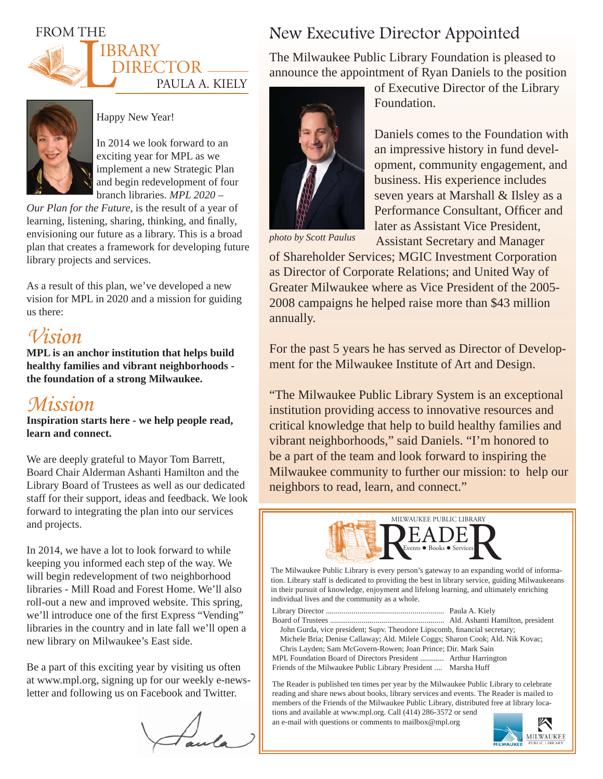### FROM THE





#### Happy New Year!

In 2014 we look forward to an exciting year for MPL as we implement a new Strategic Plan and begin redevelopment of four branch libraries. *MPL 2020 –* 

*Our Plan for the Future*, is the result of a year of learning, listening, sharing, thinking, and finally, envisioning our future as a library. This is a broad plan that creates a framework for developing future library projects and services.

As a result of this plan, we've developed a new vision for MPL in 2020 and a mission for guiding us there:

## *Vision*

**MPL is an anchor institution that helps build healthy families and vibrant neighborhoods the foundation of a strong Milwaukee.** 

## *Mission*

**Inspiration starts here - we help people read, learn and connect.** 

We are deeply grateful to Mayor Tom Barrett, Board Chair Alderman Ashanti Hamilton and the Library Board of Trustees as well as our dedicated staff for their support, ideas and feedback. We look forward to integrating the plan into our services and projects.

In 2014, we have a lot to look forward to while keeping you informed each step of the way. We will begin redevelopment of two neighborhood libraries - Mill Road and Forest Home. We'll also roll-out a new and improved website. This spring, we'll introduce one of the first Express "Vending" libraries in the country and in late fall we'll open a new library on Milwaukee's East side.

Be a part of this exciting year by visiting us often at www.mpl.org, signing up for our weekly e-newsletter and following us on Facebook and Twitter.

## New Executive Director Appointed

The Milwaukee Public Library Foundation is pleased to announce the appointment of Ryan Daniels to the position



*photo by Scott Paulus*

of Executive Director of the Library Foundation.

Daniels comes to the Foundation with an impressive history in fund development, community engagement, and business. His experience includes seven years at Marshall & Ilsley as a Performance Consultant, Officer and later as Assistant Vice President, Assistant Secretary and Manager

of Shareholder Services; MGIC Investment Corporation as Director of Corporate Relations; and United Way of Greater Milwaukee where as Vice President of the 2005- 2008 campaigns he helped raise more than \$43 million annually.

For the past 5 years he has served as Director of Development for the Milwaukee Institute of Art and Design.

"The Milwaukee Public Library System is an exceptional institution providing access to innovative resources and critical knowledge that help to build healthy families and vibrant neighborhoods," said Daniels. "I'm honored to be a part of the team and look forward to inspiring the Milwaukee community to further our mission: to help our neighbors to read, learn, and connect."



The Milwaukee Public Library is every person's gateway to an expanding world of information. Library staff is dedicated to providing the best in library service, guiding Milwaukeeans in their pursuit of knowledge, enjoyment and lifelong learning, and ultimately enriching individual lives and the community as a whole.

Library Director ............................................................ Paula A. Kiely

Board of Trustees .......................................................... Ald. Ashanti Hamilton, president John Gurda, vice president; Supv. Theodore Lipscomb, financial secretary; Michele Bria; Denise Callaway; Ald. Milele Coggs; Sharon Cook; Ald. Nik Kovac;

 Chris Layden; Sam McGovern-Rowen; Joan Prince; Dir. Mark Sain MPL Foundation Board of Directors President ............ Arthur Harrington Friends of the Milwaukee Public Library President .... Marsha Huff

The Reader is published ten times per year by the Milwaukee Public Library to celebrate reading and share news about books, library services and events. The Reader is mailed to members of the Friends of the Milwaukee Public Library, distributed free at library locations and available at www.mpl.org. Call (414) 286-3572 or send

an e-mail with questions or comments to mailbox@mpl.org

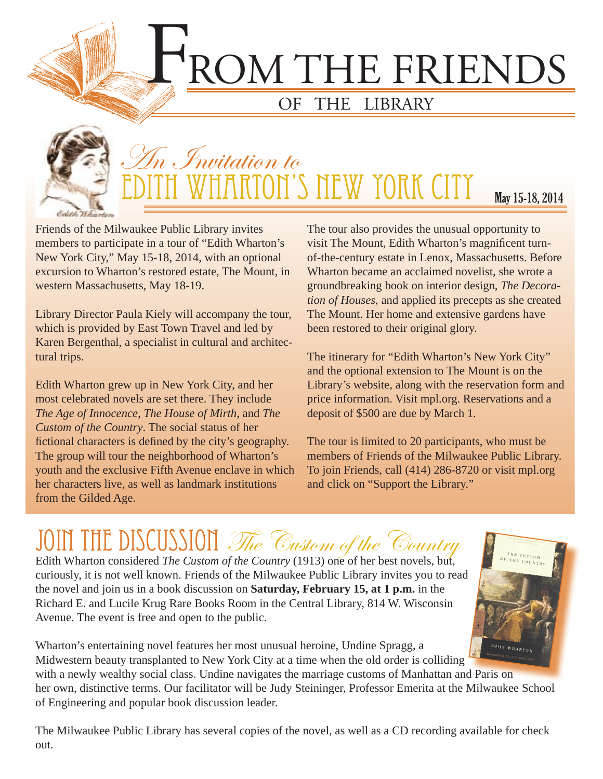ROM THE FRIENDS

# OF THE LIBRARY



# An Invitation to HARTON'S NEW YORK CITY May 15-18, 2014

Friends of the Milwaukee Public Library invites members to participate in a tour of "Edith Wharton's New York City," May 15-18, 2014, with an optional excursion to Wharton's restored estate, The Mount, in western Massachusetts, May 18-19.

Library Director Paula Kiely will accompany the tour, which is provided by East Town Travel and led by Karen Bergenthal, a specialist in cultural and architectural trips.

Edith Wharton grew up in New York City, and her most celebrated novels are set there. They include *The Age of Innocence*, *The House of Mirth*, and *The Custom of the Country*. The social status of her fictional characters is defined by the city's geography. The group will tour the neighborhood of Wharton's youth and the exclusive Fifth Avenue enclave in which her characters live, as well as landmark institutions from the Gilded Age.

The tour also provides the unusual opportunity to visit The Mount, Edith Wharton's magnificent turnof-the-century estate in Lenox, Massachusetts. Before Wharton became an acclaimed novelist, she wrote a groundbreaking book on interior design, *The Decoration of Houses*, and applied its precepts as she created The Mount. Her home and extensive gardens have been restored to their original glory.

The itinerary for "Edith Wharton's New York City" and the optional extension to The Mount is on the Library's website, along with the reservation form and price information. Visit mpl.org. Reservations and a deposit of \$500 are due by March 1.

The tour is limited to 20 participants, who must be members of Friends of the Milwaukee Public Library. To join Friends, call (414) 286-8720 or visit mpl.org and click on "Support the Library."

# JOIN THE DISCUSSION The Custom of the Country Edith Wharton considered *The Custom of the Country* (1913) one of her best novels, but,

curiously, it is not well known. Friends of the Milwaukee Public Library invites you to read the novel and join us in a book discussion on **Saturday, February 15, at 1 p.m.** in the Richard E. and Lucile Krug Rare Books Room in the Central Library, 814 W. Wisconsin Avenue. The event is free and open to the public.



Wharton's entertaining novel features her most unusual heroine, Undine Spragg, a Midwestern beauty transplanted to New York City at a time when the old order is colliding with a newly wealthy social class. Undine navigates the marriage customs of Manhattan and Paris on her own, distinctive terms. Our facilitator will be Judy Steininger, Professor Emerita at the Milwaukee School of Engineering and popular book discussion leader.

The Milwaukee Public Library has several copies of the novel, as well as a CD recording available for check out.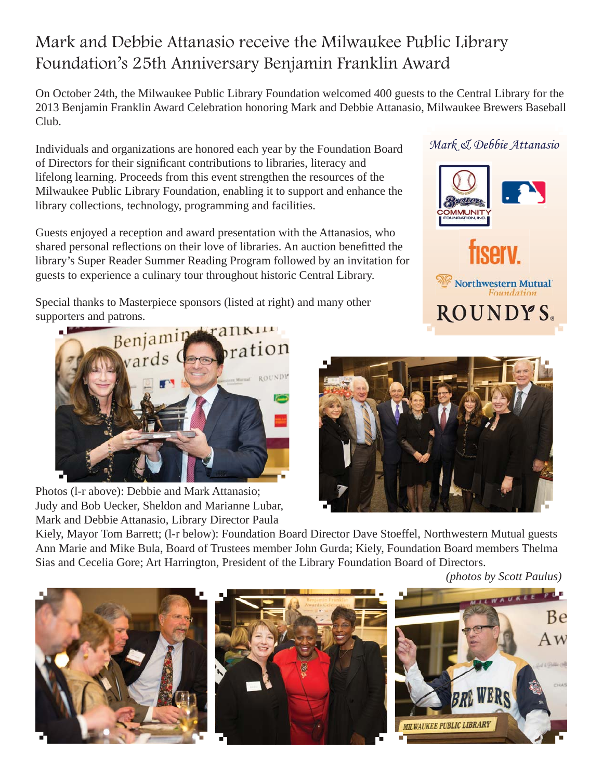## Mark and Debbie Attanasio receive the Milwaukee Public Library Foundation's 25th Anniversary Benjamin Franklin Award

On October 24th, the Milwaukee Public Library Foundation welcomed 400 guests to the Central Library for the 2013 Benjamin Franklin Award Celebration honoring Mark and Debbie Attanasio, Milwaukee Brewers Baseball Club.

Individuals and organizations are honored each year by the Foundation Board of Directors for their significant contributions to libraries, literacy and lifelong learning. Proceeds from this event strengthen the resources of the Milwaukee Public Library Foundation, enabling it to support and enhance the library collections, technology, programming and facilities.

Guests enjoyed a reception and award presentation with the Attanasios, who shared personal reflections on their love of libraries. An auction benefitted the library's Super Reader Summer Reading Program followed by an invitation for guests to experience a culinary tour throughout historic Central Library.

Special thanks to Masterpiece sponsors (listed at right) and many other



Photos (l-r above): Debbie and Mark Attanasio; Judy and Bob Uecker, Sheldon and Marianne Lubar, Mark and Debbie Attanasio, Library Director Paula



Kiely, Mayor Tom Barrett; (l-r below): Foundation Board Director Dave Stoeffel, Northwestern Mutual guests Ann Marie and Mike Bula, Board of Trustees member John Gurda; Kiely, Foundation Board members Thelma Sias and Cecelia Gore; Art Harrington, President of the Library Foundation Board of Directors.

 *(photos by Scott Paulus)*



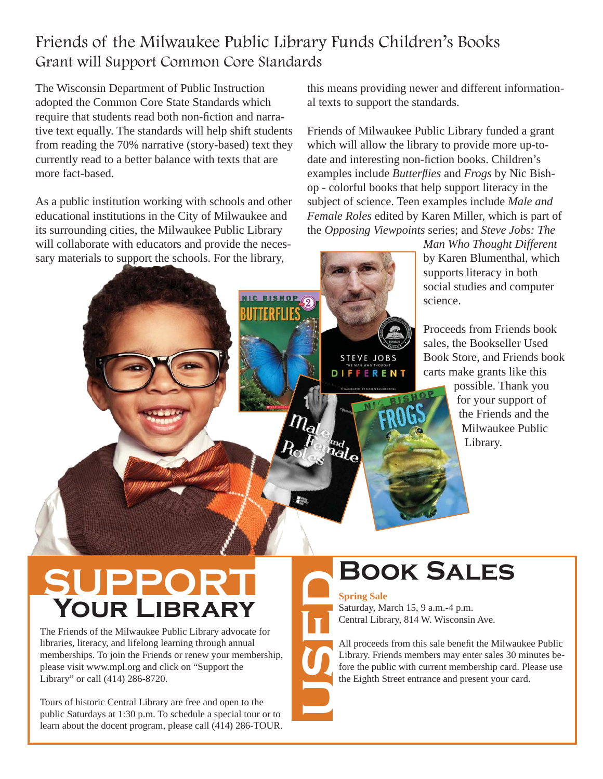## Friends of the Milwaukee Public Library Funds Children's Books Grant will Support Common Core Standards

The Wisconsin Department of Public Instruction adopted the Common Core State Standards which require that students read both non-fiction and narrative text equally. The standards will help shift students from reading the 70% narrative (story-based) text they currently read to a better balance with texts that are more fact-based.

As a public institution working with schools and other educational institutions in the City of Milwaukee and its surrounding cities, the Milwaukee Public Library will collaborate with educators and provide the necessary materials to support the schools. For the library,

this means providing newer and different informational texts to support the standards.

Friends of Milwaukee Public Library funded a grant which will allow the library to provide more up-todate and interesting non-fiction books. Children's examples include *Butterflies* and *Frogs* by Nic Bishop - colorful books that help support literacy in the subject of science. Teen examples include *Male and Female Roles* edited by Karen Miller, which is part of the *Opposing Viewpoints* series; and *Steve Jobs: The* 

> *Man Who Thought Different* by Karen Blumenthal, which supports literacy in both social studies and computer science.

Proceeds from Friends book sales, the Bookseller Used Book Store, and Friends book carts make grants like this possible. Thank you for your support of the Friends and the Milwaukee Public

Library.

# **SUPPORT Your Library**

The Friends of the Milwaukee Public Library advocate for libraries, literacy, and lifelong learning through annual memberships. To join the Friends or renew your membership, please visit www.mpl.org and click on "Support the Library" or call (414) 286-8720.

Tours of historic Central Library are free and open to the public Saturdays at 1:30 p.m. To schedule a special tour or to learn about the docent program, please call (414) 286-TOUR.

# **Book Sales**

#### **Spring Sale**

**STEVE JOBS DIFFERENT** 

ra<br><sup>ial</sup>e

Saturday, March 15, 9 a.m.-4 p.m. Central Library, 814 W. Wisconsin Ave.

All proceeds from this sale benefit the Milwaukee Public Library. Friends members may enter sales 30 minutes before the public with current membership card. Please use the Eighth Street entrance and present your card. **USED**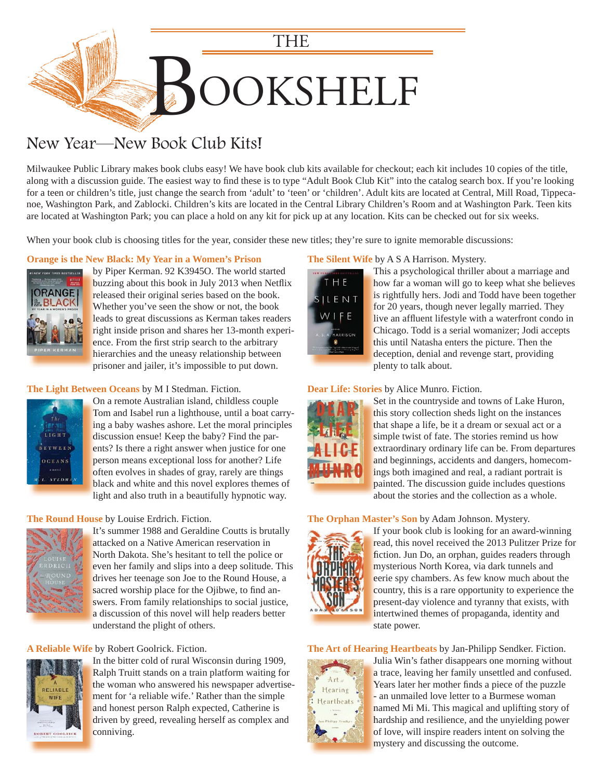

## New Year—New Book Club Kits!

Milwaukee Public Library makes book clubs easy! We have book club kits available for checkout; each kit includes 10 copies of the title, along with a discussion guide. The easiest way to find these is to type "Adult Book Club Kit" into the catalog search box. If you're looking for a teen or children's title, just change the search from 'adult' to 'teen' or 'children'. Adult kits are located at Central, Mill Road, Tippecanoe, Washington Park, and Zablocki. Children's kits are located in the Central Library Children's Room and at Washington Park. Teen kits are located at Washington Park; you can place a hold on any kit for pick up at any location. Kits can be checked out for six weeks.

When your book club is choosing titles for the year, consider these new titles; they're sure to ignite memorable discussions:

#### **[Orange is the New Black: My Year in a Women's Prison](https://encore.mcfls.org/iii/encore/record/C__Rb3713919)**



by Piper Kerman. 92 K3945O. The world started b buzzing about this book in July 2013 when Netflix released their original series based on the book. Whether you've seen the show or not, the book W leads to great discussions as Kerman takes readers l right inside prison and shares her 13-month experience. From the first strip search to the arbitrary hierarchies and the uneasy relationship between h prisoner and jailer, it's impossible to put down. p

#### **The Light Between Oceans** by M I Stedman. Fiction.



On a remote Australian island, childless couple O Tom and Isabel run a lighthouse, until a boat carry-T [ing a baby washes ashore. Let the moral principles](https://encore.mcfls.org/iii/encore/record/C__Rb3685871)  i discussion ensue! Keep the baby? Find the parents? Is there a right answer when justice for one person means exceptional loss for another? Life p often evolves in shades of gray, rarely are things black and white and this novel explores themes of b light and also truth in a beautifully hypnotic way. l

#### **The Round House** by Louise Erdrich. Fiction.



It's summer 1988 and Geraldine Coutts is brutally attacked on a Native American reservation in North Dakota. She's hesitant to tell the police or N even her family and slips into a deep solitude. This drives her teenage son Joe to the Round House, a d sacred worship place for the Ojibwe, to find answers. From family relationships to social justice, a discussion of this novel will help readers better understand the plight of others. u

#### **A Reliable Wife** by Robert Goolrick. Fiction.



In the bitter cold of rural Wisconsin during 1909, I Ralph Truitt stands on a train platform waiting for R [the woman who answered his newspaper advertise](https://encore.mcfls.org/iii/encore/record/C__Rb3720245)ment for 'a reliable wife.' Rather than the simple and honest person Ralph expected, Catherine is driven by greed, revealing herself as complex and conniving.

#### **The Silent Wife** by A S A Harrison. Mystery.



This a psychological thriller about a marriage and T how far a woman will go to keep what she believes h is rightfully hers. Jodi and Todd have been together for 20 years, though never legally married. They f live an affluent lifestyle with a waterfront condo in Chicago. Todd is a serial womanizer; Jodi accepts C this until Natasha enters the picture. Then the deception, denial and revenge start, providing d plenty to talk about. p

#### **Dear Life: Stories** by Alice Munro. Fiction.



Set in the countryside and towns of Lake Huron, S this story collection sheds light on the instances that shape a life, be it a dream or sexual act or a simple twist of fate. The stories remind us how extraordinary ordinary life can be. From departures and beginnings, accidents and dangers, homecomings both imagined and real, a radiant portrait is i painted. The discussion guide includes questions p about the stories and the collection as a whole. a

#### **The Orphan Master's Son** by Adam Johnson. Mystery.



If your book club is looking for an award-winning I read, this novel received the 2013 Pulitzer Prize for fiction. Jun Do, an orphan, guides readers through mysterious North Korea, via dark tunnels and m eerie spy chambers. As few know much about the country, this is a rare opportunity to experience the present-day violence and tyranny that exists, with p intertwined themes of propaganda, identity and state power.

#### **The Art of Hearing Heartbeats** by Jan-Philipp Sendker. Fiction.



[Julia Win's father disappears one morning without](https://encore.mcfls.org/iii/encore/record/C__Rb3713929)  J a trace, leaving her family unsettled and confused. Years later her mother finds a piece of the puzzle - an unmailed love letter to a Burmese woman named Mi Mi. This magical and uplifting story of hardship and resilience, and the unyielding power h of love, will inspire readers intent on solving the mystery and discussing the outcome.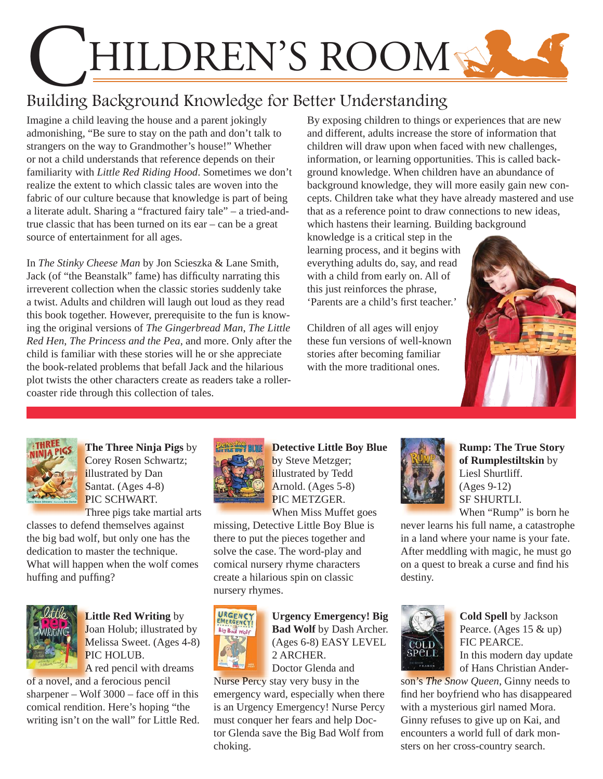# HILDREN'S ROOM

# Building Background Knowledge for Better Understanding

Imagine a child leaving the house and a parent jokingly admonishing, "Be sure to stay on the path and don't talk to strangers on the way to Grandmother's house!" Whether or not a child understands that reference depends on their familiarity with *Little Red Riding Hood*. Sometimes we don't realize the extent to which classic tales are woven into the fabric of our culture because that knowledge is part of being a literate adult. Sharing a "fractured fairy tale" – a tried-andtrue classic that has been turned on its ear – can be a great source of entertainment for all ages.

In *The Stinky Cheese Man* by Jon Scieszka & Lane Smith, Jack (of "the Beanstalk" fame) has difficulty narrating this irreverent collection when the classic stories suddenly take a twist. Adults and children will laugh out loud as they read this book together. However, prerequisite to the fun is knowing the original versions of *The Gingerbread Man*, *The Little Red Hen*, *The Princess and the Pea*, and more. Only after the child is familiar with these stories will he or she appreciate the book-related problems that befall Jack and the hilarious plot twists the other characters create as readers take a rollercoaster ride through this collection of tales.

By exposing children to things or experiences that are new and different, adults increase the store of information that children will draw upon when faced with new challenges, information, or learning opportunities. This is called background knowledge. When children have an abundance of background knowledge, they will more easily gain new concepts. Children take what they have already mastered and use that as a reference point to draw connections to new ideas, which hastens their learning. Building background

knowledge is a critical step in the learning process, and it begins with everything adults do, say, and read with a child from early on. All of this just reinforces the phrase, 'Parents are a child's first teacher.'

Children of all ages will enjoy these fun versions of well-known stories after becoming familiar with the more traditional ones.





**The Three Ninja Pigs** by **T** Corey Rosen Schwartz; C illustrated by Dan Santat. (Ages 4-8) PIC SCHWART. Three pigs take martial arts

classes to defend themselves against the big bad wolf, but only one has the dedication to master the technique. [What will happen when the wolf comes](https://encore.mcfls.org/iii/encore/record/C__Rb3617837)  huffing and puffing?



**Little Red Writing** by **L** Joan Holub; illustrated by Melissa Sweet. (Ages 4-8) PIC HOLUB.

A red pencil with dreams A of a novel, and a ferocious pencil [sharpener – Wolf 3000 – face off in this](https://encore.mcfls.org/iii/encore/record/C__Rb3697297)  comical rendition. Here's hoping "the writing isn't on the wall" for Little Red.



**Detective Little Boy Blue** by Steve Metzger; illustrated by Tedd Arnold. (Ages 5-8) PIC METZGER. When Miss Muffet goes W

[missing, Detective Little Boy Blue is](https://encore.mcfls.org/iii/encore/record/C__Rb3521645)  there to put the pieces together and solve the case. The word-play and comical nursery rhyme characters create a hilarious spin on classic nursery rhymes.



**Urgency Emergency! Big Bad Wolf** by Dash Archer. (Ages 6-8) EASY LEVEL 2 ARCHER.

Doctor Glenda and

Nurse Percy stay very busy in the Nurse Percy son's *The Sno*emergency ward, especially when there [is an Urgency Emergency! Nurse Percy](https://encore.mcfls.org/iii/encore/record/C__Rb3691011)  must conquer her fears and help Doctor Glenda save the Big Bad Wolf from choking.



**Rump: The True Story of Rumplestiltskin** by Liesl Shurtliff. (Ages 9-12) SF SHURTLI. When "Rump" is born he

[never learns his full name, a catastrophe](https://encore.mcfls.org/iii/encore/record/C__Rb3658610)  in a land where your name is your fate. After meddling with magic, he must go on a quest to break a curse and find his destiny.



**Cold Spell** by Jackson Pearce. (Ages 15 & up) FIC PEARCE.

In this modern day update of Hans Christian Ander-

son's *The Snow Queen*, Ginny needs to find her boyfriend who has disappeared with a mysterious girl named Mora. Ginny refuses to give up on Kai, and encounters a world full of dark monsters on her cross-country search.